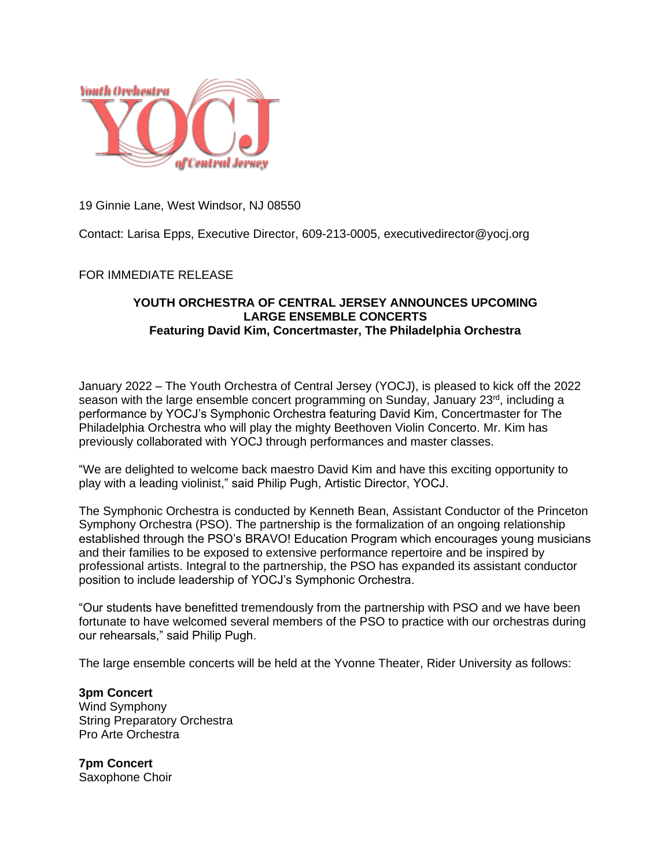

19 Ginnie Lane, West Windsor, NJ 08550

Contact: Larisa Epps, Executive Director, 609-213-0005, executivedirector@yocj.org

## FOR IMMEDIATE RELEASE

## **YOUTH ORCHESTRA OF CENTRAL JERSEY ANNOUNCES UPCOMING LARGE ENSEMBLE CONCERTS Featuring David Kim, Concertmaster, The Philadelphia Orchestra**

January 2022 – The Youth Orchestra of Central Jersey (YOCJ), is pleased to kick off the 2022 season with the large ensemble concert programming on Sunday, January 23<sup>rd</sup>, including a performance by YOCJ's Symphonic Orchestra featuring David Kim, Concertmaster for The Philadelphia Orchestra who will play the mighty Beethoven Violin Concerto. Mr. Kim has previously collaborated with YOCJ through performances and master classes.

"We are delighted to welcome back maestro David Kim and have this exciting opportunity to play with a leading violinist," said Philip Pugh, Artistic Director, YOCJ.

The Symphonic Orchestra is conducted by Kenneth Bean, Assistant Conductor of the Princeton Symphony Orchestra (PSO). The partnership is the formalization of an ongoing relationship established through the PSO's BRAVO! Education Program which encourages young musicians and their families to be exposed to extensive performance repertoire and be inspired by professional artists. Integral to the partnership, the PSO has expanded its assistant conductor position to include leadership of YOCJ's Symphonic Orchestra.

"Our students have benefitted tremendously from the partnership with PSO and we have been fortunate to have welcomed several members of the PSO to practice with our orchestras during our rehearsals," said Philip Pugh.

The large ensemble concerts will be held at the Yvonne Theater, Rider University as follows:

**3pm Concert** Wind Symphony String Preparatory Orchestra Pro Arte Orchestra

**7pm Concert** Saxophone Choir